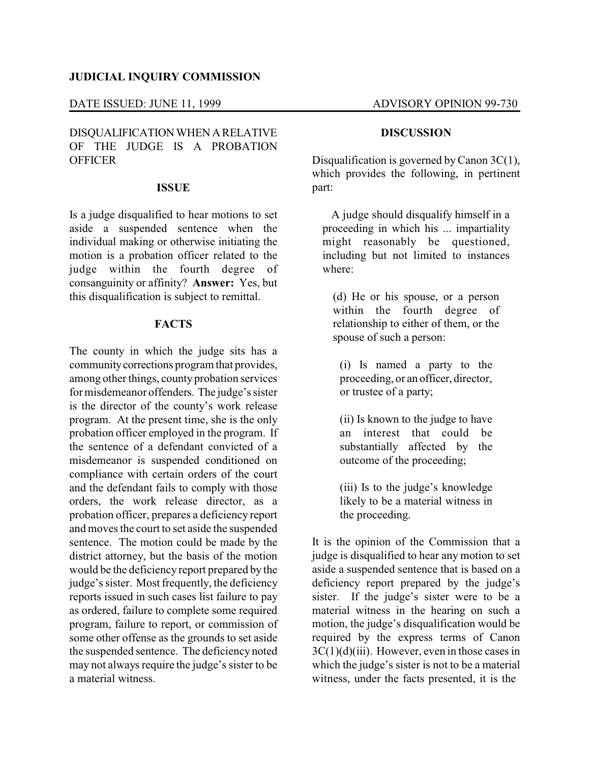### **JUDICIAL INQUIRY COMMISSION**

#### DATE ISSUED: JUNE 11, 1999 ADVISORY OPINION 99-730

# DISQUALIFICATIONWHEN ARELATIVE OF THE JUDGE IS A PROBATION **OFFICER**

#### **ISSUE**

Is a judge disqualified to hear motions to set aside a suspended sentence when the individual making or otherwise initiating the motion is a probation officer related to the judge within the fourth degree of consanguinity or affinity? **Answer:** Yes, but this disqualification is subject to remittal.

## **FACTS**

The county in which the judge sits has a communitycorrections program that provides, among other things, county probation services for misdemeanor offenders. The judge's sister is the director of the county's work release program. At the present time, she is the only probation officer employed in the program. If the sentence of a defendant convicted of a misdemeanor is suspended conditioned on compliance with certain orders of the court and the defendant fails to comply with those orders, the work release director, as a probation officer, prepares a deficiency report and moves the court to set aside the suspended sentence. The motion could be made by the district attorney, but the basis of the motion would be the deficiency report prepared by the judge's sister. Most frequently, the deficiency reports issued in such cases list failure to pay as ordered, failure to complete some required program, failure to report, or commission of some other offense as the grounds to set aside the suspended sentence. The deficiency noted may not always require the judge's sister to be a material witness.

### **DISCUSSION**

Disqualification is governed by Canon 3C(1), which provides the following, in pertinent part:

A judge should disqualify himself in a proceeding in which his ... impartiality might reasonably be questioned, including but not limited to instances where:

(d) He or his spouse, or a person within the fourth degree of relationship to either of them, or the spouse of such a person:

(i) Is named a party to the proceeding, or an officer, director, or trustee of a party;

(ii) Is known to the judge to have an interest that could be substantially affected by the outcome of the proceeding;

(iii) Is to the judge's knowledge likely to be a material witness in the proceeding.

It is the opinion of the Commission that a judge is disqualified to hear any motion to set aside a suspended sentence that is based on a deficiency report prepared by the judge's sister. If the judge's sister were to be a material witness in the hearing on such a motion, the judge's disqualification would be required by the express terms of Canon  $3C(1)(d)(iii)$ . However, even in those cases in which the judge's sister is not to be a material witness, under the facts presented, it is the